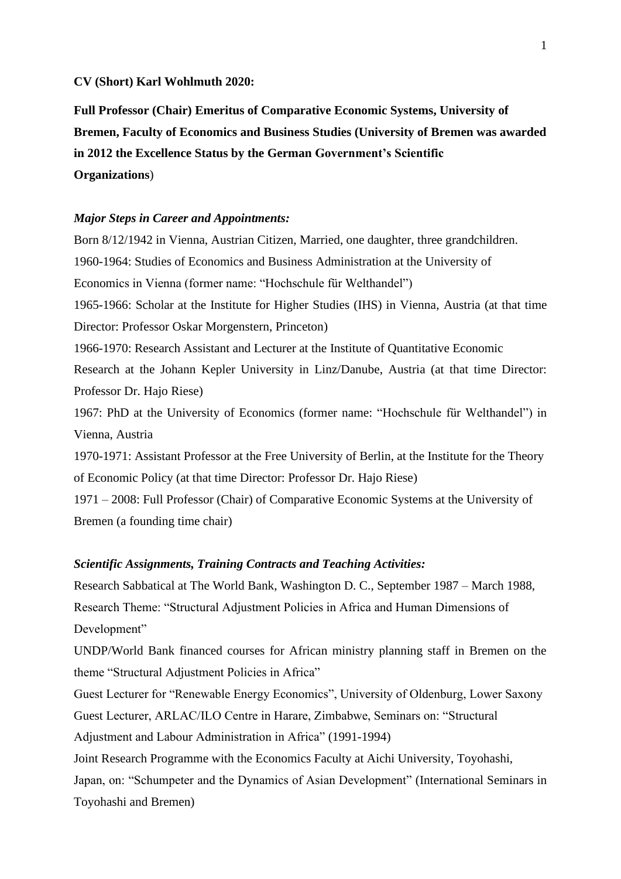#### **CV (Short) Karl Wohlmuth 2020:**

**Full Professor (Chair) Emeritus of Comparative Economic Systems, University of Bremen, Faculty of Economics and Business Studies (University of Bremen was awarded in 2012 the Excellence Status by the German Government's Scientific Organizations**)

## *Major Steps in Career and Appointments:*

Born 8/12/1942 in Vienna, Austrian Citizen, Married, one daughter, three grandchildren. 1960-1964: Studies of Economics and Business Administration at the University of Economics in Vienna (former name: "Hochschule für Welthandel") 1965-1966: Scholar at the Institute for Higher Studies (IHS) in Vienna, Austria (at that time Director: Professor Oskar Morgenstern, Princeton) 1966-1970: Research Assistant and Lecturer at the Institute of Quantitative Economic Research at the Johann Kepler University in Linz/Danube, Austria (at that time Director: Professor Dr. Hajo Riese) 1967: PhD at the University of Economics (former name: "Hochschule für Welthandel") in Vienna, Austria 1970-1971: Assistant Professor at the Free University of Berlin, at the Institute for the Theory of Economic Policy (at that time Director: Professor Dr. Hajo Riese)

1971 – 2008: Full Professor (Chair) of Comparative Economic Systems at the University of Bremen (a founding time chair)

## *Scientific Assignments, Training Contracts and Teaching Activities:*

Research Sabbatical at The World Bank, Washington D. C., September 1987 – March 1988, Research Theme: "Structural Adjustment Policies in Africa and Human Dimensions of Development"

UNDP/World Bank financed courses for African ministry planning staff in Bremen on the theme "Structural Adjustment Policies in Africa"

Guest Lecturer for "Renewable Energy Economics", University of Oldenburg, Lower Saxony Guest Lecturer, ARLAC/ILO Centre in Harare, Zimbabwe, Seminars on: "Structural Adjustment and Labour Administration in Africa" (1991-1994)

Joint Research Programme with the Economics Faculty at Aichi University, Toyohashi, Japan, on: "Schumpeter and the Dynamics of Asian Development" (International Seminars in Toyohashi and Bremen)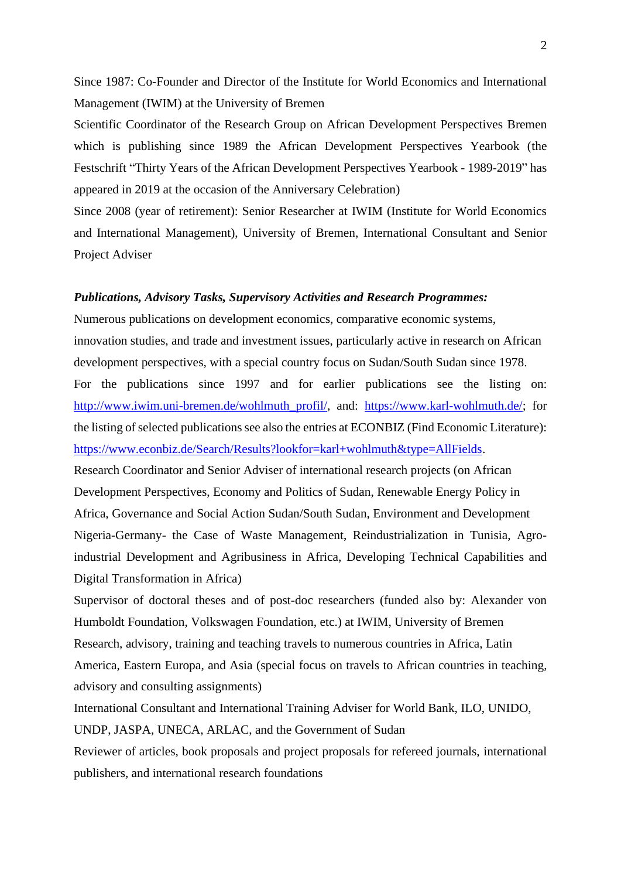Since 1987: Co-Founder and Director of the Institute for World Economics and International Management (IWIM) at the University of Bremen

Scientific Coordinator of the Research Group on African Development Perspectives Bremen which is publishing since 1989 the African Development Perspectives Yearbook (the Festschrift "Thirty Years of the African Development Perspectives Yearbook - 1989-2019" has appeared in 2019 at the occasion of the Anniversary Celebration)

Since 2008 (year of retirement): Senior Researcher at IWIM (Institute for World Economics and International Management), University of Bremen, International Consultant and Senior Project Adviser

#### *Publications, Advisory Tasks, Supervisory Activities and Research Programmes:*

Numerous publications on development economics, comparative economic systems, innovation studies, and trade and investment issues, particularly active in research on African development perspectives, with a special country focus on Sudan/South Sudan since 1978. For the publications since 1997 and for earlier publications see the listing on: [http://www.iwim.uni-bremen.de/wohlmuth\\_profil/,](http://www.iwim.uni-bremen.de/wohlmuth_profil/) and: [https://www.karl-wohlmuth.de/;](https://www.karl-wohlmuth.de/) for the listing of selected publications see also the entries at ECONBIZ (Find Economic Literature): [https://www.econbiz.de/Search/Results?lookfor=karl+wohlmuth&type=AllFields.](https://www.econbiz.de/Search/Results?lookfor=karl+wohlmuth&type=AllFields)

Research Coordinator and Senior Adviser of international research projects (on African Development Perspectives, Economy and Politics of Sudan, Renewable Energy Policy in Africa, Governance and Social Action Sudan/South Sudan, Environment and Development Nigeria-Germany- the Case of Waste Management, Reindustrialization in Tunisia, Agroindustrial Development and Agribusiness in Africa, Developing Technical Capabilities and Digital Transformation in Africa)

Supervisor of doctoral theses and of post-doc researchers (funded also by: Alexander von Humboldt Foundation, Volkswagen Foundation, etc.) at IWIM, University of Bremen Research, advisory, training and teaching travels to numerous countries in Africa, Latin America, Eastern Europa, and Asia (special focus on travels to African countries in teaching, advisory and consulting assignments)

International Consultant and International Training Adviser for World Bank, ILO, UNIDO,

UNDP, JASPA, UNECA, ARLAC, and the Government of Sudan

Reviewer of articles, book proposals and project proposals for refereed journals, international publishers, and international research foundations